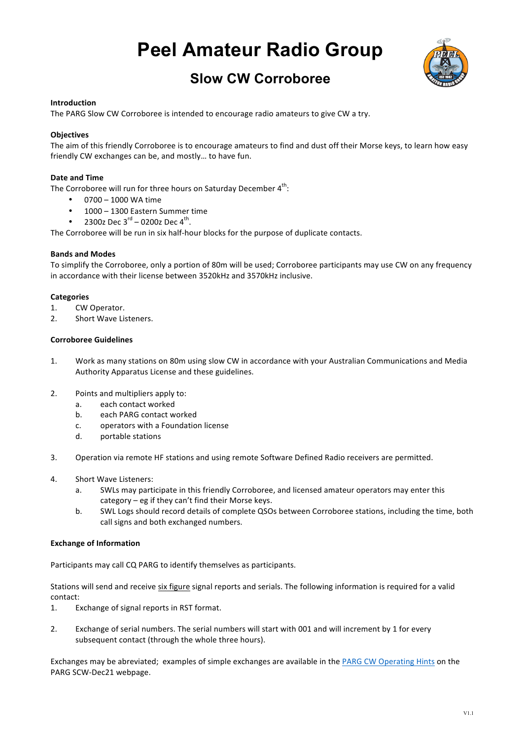# **Peel Amateur Radio Group**



# **Slow CW Corroboree**

# **Introduction**

The PARG Slow CW Corroboree is intended to encourage radio amateurs to give CW a try.

# **Objectives**

The aim of this friendly Corroboree is to encourage amateurs to find and dust off their Morse keys, to learn how easy friendly CW exchanges can be, and mostly... to have fun.

### **Date and Time**

The Corroboree will run for three hours on Saturday December  $4<sup>th</sup>$ :

- $\cdot$  0700 1000 WA time
- 1000 1300 Eastern Summer time
- 2300z Dec  $3^{\text{rd}}$  0200z Dec  $4^{\text{th}}$ .

The Corroboree will be run in six half-hour blocks for the purpose of duplicate contacts.

#### **Bands and Modes**

To simplify the Corroboree, only a portion of 80m will be used; Corroboree participants may use CW on any frequency in accordance with their license between 3520kHz and 3570kHz inclusive.

#### **Categories**

- 1. CW Operator.
- 2. Short Wave Listeners.

### **Corroboree Guidelines**

- 1. Work as many stations on 80m using slow CW in accordance with your Australian Communications and Media Authority Apparatus License and these guidelines.
- 2. Points and multipliers apply to:
	- a. each contact worked
	- b. each PARG contact worked
	- c. operators with a Foundation license
	- d. portable stations
- 3. Operation via remote HF stations and using remote Software Defined Radio receivers are permitted.
- 4. Short Wave Listeners:
	- a. SWLs may participate in this friendly Corroboree, and licensed amateur operators may enter this  $category - eg$  if they can't find their Morse keys.
	- b. SWL Logs should record details of complete QSOs between Corroboree stations, including the time, both call signs and both exchanged numbers.

#### **Exchange of Information**

Participants may call CQ PARG to identify themselves as participants.

Stations will send and receive six figure signal reports and serials. The following information is required for a valid contact:

- 1. Exchange of signal reports in RST format.
- 2. Exchange of serial numbers. The serial numbers will start with 001 and will increment by 1 for every subsequent contact (through the whole three hours).

Exchanges may be abreviated; examples of simple exchanges are available in the PARG CW Operating Hints on the PARG SCW-Dec21 webpage.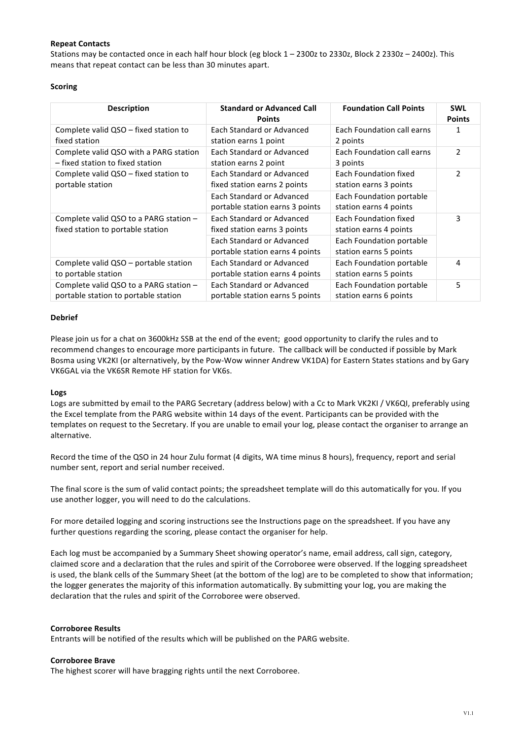# **Repeat Contacts**

Stations may be contacted once in each half hour block (eg block  $1 - 2300z$  to 2330z, Block 2 2330z - 2400z). This means that repeat contact can be less than 30 minutes apart.

# **Scoring**

| <b>Description</b>                                                             | <b>Standard or Advanced Call</b><br><b>Points</b>            | <b>Foundation Call Points</b>                      | <b>SWL</b><br><b>Points</b> |
|--------------------------------------------------------------------------------|--------------------------------------------------------------|----------------------------------------------------|-----------------------------|
| Complete valid QSO – fixed station to<br>fixed station                         | Each Standard or Advanced<br>station earns 1 point           | Each Foundation call earns<br>2 points             | 1                           |
| Complete valid QSO with a PARG station<br>- fixed station to fixed station     | Each Standard or Advanced<br>station earns 2 point           | Each Foundation call earns<br>3 points             | $\overline{2}$              |
| Complete valid QSO - fixed station to<br>portable station                      | Each Standard or Advanced<br>fixed station earns 2 points    | Each Foundation fixed<br>station earns 3 points    | $\mathcal{P}$               |
|                                                                                | Each Standard or Advanced<br>portable station earns 3 points | Each Foundation portable<br>station earns 4 points |                             |
| Complete valid QSO to a PARG station -<br>fixed station to portable station    | Each Standard or Advanced<br>fixed station earns 3 points    | Each Foundation fixed<br>station earns 4 points    | 3                           |
|                                                                                | Each Standard or Advanced<br>portable station earns 4 points | Each Foundation portable<br>station earns 5 points |                             |
| Complete valid QSO - portable station<br>to portable station                   | Each Standard or Advanced<br>portable station earns 4 points | Each Foundation portable<br>station earns 5 points | 4                           |
| Complete valid QSO to a PARG station -<br>portable station to portable station | Each Standard or Advanced<br>portable station earns 5 points | Each Foundation portable<br>station earns 6 points | 5                           |

#### **Debrief**

Please join us for a chat on 3600kHz SSB at the end of the event; good opportunity to clarify the rules and to recommend changes to encourage more participants in future. The callback will be conducted if possible by Mark Bosma using VK2KI (or alternatively, by the Pow-Wow winner Andrew VK1DA) for Eastern States stations and by Gary VK6GAL via the VK6SR Remote HF station for VK6s.

# **Logs**

Logs are submitted by email to the PARG Secretary (address below) with a Cc to Mark VK2KI / VK6QI, preferably using the Excel template from the PARG website within 14 days of the event. Participants can be provided with the templates on request to the Secretary. If you are unable to email your log, please contact the organiser to arrange an alternative.

Record the time of the QSO in 24 hour Zulu format (4 digits, WA time minus 8 hours), frequency, report and serial number sent, report and serial number received.

The final score is the sum of valid contact points; the spreadsheet template will do this automatically for you. If you use another logger, you will need to do the calculations.

For more detailed logging and scoring instructions see the Instructions page on the spreadsheet. If you have any further questions regarding the scoring, please contact the organiser for help.

Each log must be accompanied by a Summary Sheet showing operator's name, email address, call sign, category, claimed score and a declaration that the rules and spirit of the Corroboree were observed. If the logging spreadsheet is used, the blank cells of the Summary Sheet (at the bottom of the log) are to be completed to show that information; the logger generates the majority of this information automatically. By submitting your log, you are making the declaration that the rules and spirit of the Corroboree were observed.

# **Corroboree Results**

Entrants will be notified of the results which will be published on the PARG website.

# **Corroboree Brave**

The highest scorer will have bragging rights until the next Corroboree.